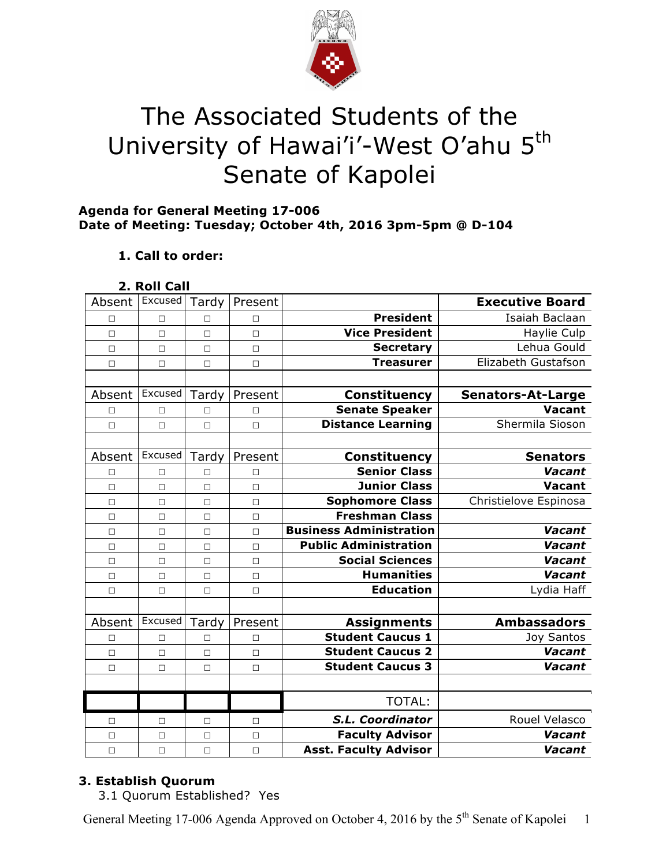

# The Associated Students of the University of Hawai'i'-West O'ahu 5<sup>th</sup> Senate of Kapolei

# **Agenda for General Meeting 17-006 Date of Meeting: Tuesday; October 4th, 2016 3pm-5pm @ D-104**

# **1. Call to order:**

| 2. Roll Call |  |
|--------------|--|

| <b>Executive Board</b>                          |                                | Present | Tardy  | Excused | Absent |
|-------------------------------------------------|--------------------------------|---------|--------|---------|--------|
| <b>President</b><br>Isaiah Baclaan              |                                | $\Box$  | $\Box$ | $\Box$  | П      |
| <b>Vice President</b><br>Haylie Culp            |                                | $\Box$  | $\Box$ | $\Box$  | $\Box$ |
| Lehua Gould<br><b>Secretary</b>                 |                                | $\Box$  | $\Box$ | $\Box$  | $\Box$ |
| <b>Treasurer</b><br>Elizabeth Gustafson         |                                | $\Box$  | $\Box$ | $\Box$  | $\Box$ |
|                                                 |                                |         |        |         |        |
| <b>Constituency</b><br><b>Senators-At-Large</b> |                                | Present | Tardy  | Excused | Absent |
| <b>Senate Speaker</b><br><b>Vacant</b>          |                                | $\Box$  | □      | $\Box$  | □      |
| <b>Distance Learning</b><br>Shermila Sioson     |                                | $\Box$  | $\Box$ | $\Box$  | $\Box$ |
|                                                 |                                |         |        |         |        |
| <b>Constituency</b><br><b>Senators</b>          |                                | Present | Tardy  | Excused | Absent |
| <b>Senior Class</b><br>Vacant                   |                                | П       | П      | П       | □      |
| <b>Junior Class</b><br>Vacant                   |                                | $\Box$  | $\Box$ | $\Box$  | $\Box$ |
| <b>Sophomore Class</b><br>Christielove Espinosa |                                | $\Box$  | $\Box$ | $\Box$  | $\Box$ |
| <b>Freshman Class</b>                           |                                | $\Box$  | $\Box$ | $\Box$  | $\Box$ |
| Vacant                                          | <b>Business Administration</b> | $\Box$  | $\Box$ | $\Box$  | $\Box$ |
| <b>Public Administration</b><br>Vacant          |                                | $\Box$  | $\Box$ | $\Box$  | $\Box$ |
| <b>Social Sciences</b><br>Vacant                |                                | $\Box$  | $\Box$ | $\Box$  | $\Box$ |
| <b>Humanities</b><br>Vacant                     |                                | $\Box$  | $\Box$ | $\Box$  | $\Box$ |
| <b>Education</b><br>Lydia Haff                  |                                | $\Box$  | П      | $\Box$  | $\Box$ |
|                                                 |                                |         |        |         |        |
| <b>Ambassadors</b><br><b>Assignments</b>        |                                | Present | Tardy  | Excused | Absent |
| <b>Student Caucus 1</b><br><b>Joy Santos</b>    |                                | $\Box$  | П      | $\Box$  | $\Box$ |
| <b>Student Caucus 2</b><br>Vacant               |                                | $\Box$  | $\Box$ | $\Box$  | $\Box$ |
| <b>Student Caucus 3</b><br>Vacant               |                                | $\Box$  | $\Box$ | $\Box$  | $\Box$ |
|                                                 |                                |         |        |         |        |
| <b>TOTAL:</b>                                   |                                |         |        |         |        |
| S.L. Coordinator<br>Rouel Velasco               |                                | $\Box$  | □      | □       | □      |
| <b>Faculty Advisor</b><br>Vacant                |                                | $\Box$  | $\Box$ | $\Box$  | $\Box$ |
| <b>Asst. Faculty Advisor</b><br>Vacant          |                                | $\Box$  | $\Box$ | $\Box$  | $\Box$ |

# **3. Establish Quorum**

3.1 Quorum Established? Yes

General Meeting 17-006 Agenda Approved on October 4, 2016 by the 5<sup>th</sup> Senate of Kapolei 1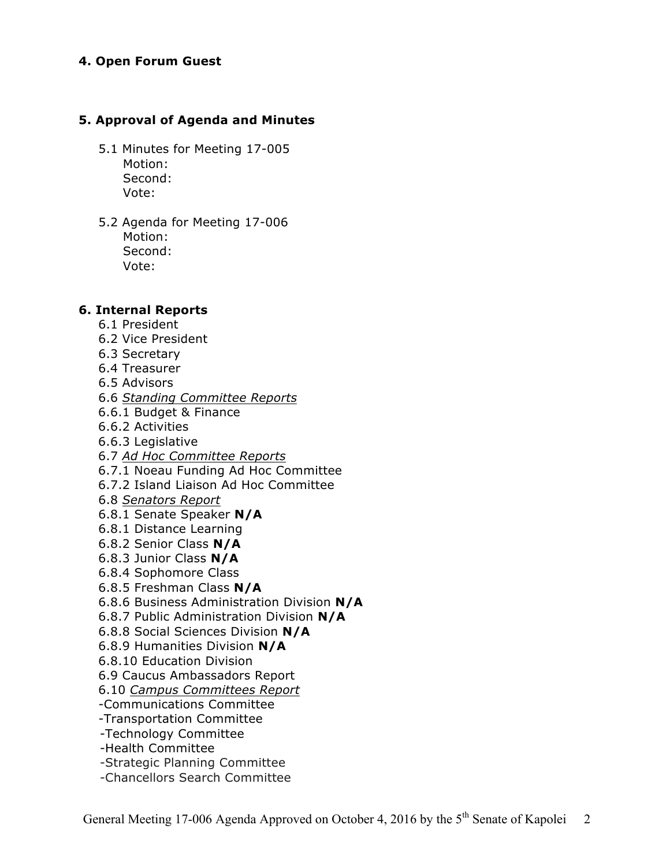## **4. Open Forum Guest**

## **5. Approval of Agenda and Minutes**

- 5.1 Minutes for Meeting 17-005 Motion: Second: Vote:
- 5.2 Agenda for Meeting 17-006 Motion: Second: Vote:

#### **6. Internal Reports**

- 6.1 President
- 6.2 Vice President
- 6.3 Secretary
- 6.4 Treasurer
- 6.5 Advisors
- 6.6 *Standing Committee Reports*
- 6.6.1 Budget & Finance
- 6.6.2 Activities
- 6.6.3 Legislative
- 6.7 *Ad Hoc Committee Reports*
- 6.7.1 Noeau Funding Ad Hoc Committee
- 6.7.2 Island Liaison Ad Hoc Committee
- 6.8 *Senators Report*
- 6.8.1 Senate Speaker **N/A**
- 6.8.1 Distance Learning
- 6.8.2 Senior Class **N/A**
- 6.8.3 Junior Class **N/A**
- 6.8.4 Sophomore Class
- 6.8.5 Freshman Class **N/A**
- 6.8.6 Business Administration Division **N/A**
- 6.8.7 Public Administration Division **N/A**
- 6.8.8 Social Sciences Division **N/A**
- 6.8.9 Humanities Division **N/A**
- 6.8.10 Education Division
- 6.9 Caucus Ambassadors Report
- 6.10 *Campus Committees Report*
- -Communications Committee
- -Transportation Committee
- -Technology Committee
- -Health Committee
- -Strategic Planning Committee
- -Chancellors Search Committee